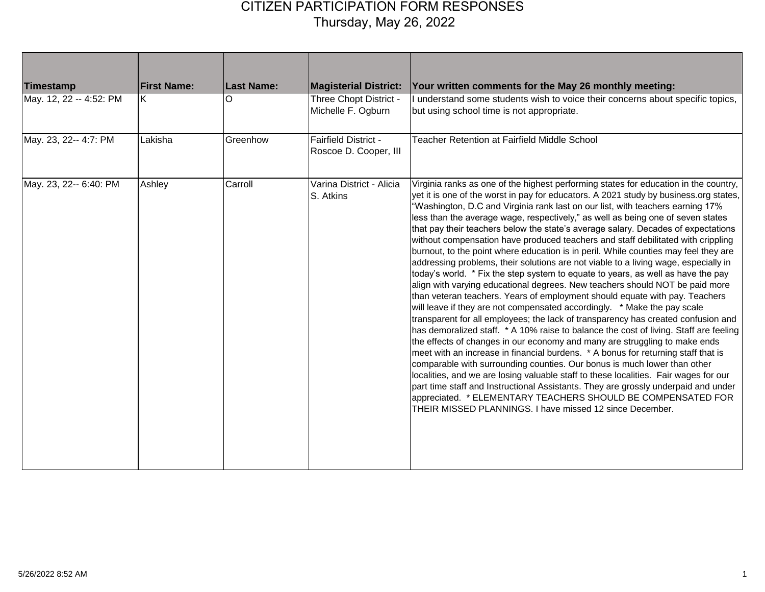| <b>Timestamp</b>        | <b>First Name:</b> | <b>Last Name:</b> | <b>Magisterial District:</b>                         | Your written comments for the May 26 monthly meeting:                                                                                                                                                                                                                                                                                                                                                                                                                                                                                                                                                                                                                                                                                                                                                                                                                                                                                                                                                                                                                                                                                                                                                                                                                                                                                                                                                                                                                                                                                                                                                                                                                                                                                                                           |
|-------------------------|--------------------|-------------------|------------------------------------------------------|---------------------------------------------------------------------------------------------------------------------------------------------------------------------------------------------------------------------------------------------------------------------------------------------------------------------------------------------------------------------------------------------------------------------------------------------------------------------------------------------------------------------------------------------------------------------------------------------------------------------------------------------------------------------------------------------------------------------------------------------------------------------------------------------------------------------------------------------------------------------------------------------------------------------------------------------------------------------------------------------------------------------------------------------------------------------------------------------------------------------------------------------------------------------------------------------------------------------------------------------------------------------------------------------------------------------------------------------------------------------------------------------------------------------------------------------------------------------------------------------------------------------------------------------------------------------------------------------------------------------------------------------------------------------------------------------------------------------------------------------------------------------------------|
| May. 12, 22 -- 4:52: PM | ΙK.                | O                 | Three Chopt District -<br>Michelle F. Ogburn         | I understand some students wish to voice their concerns about specific topics,<br>but using school time is not appropriate.                                                                                                                                                                                                                                                                                                                                                                                                                                                                                                                                                                                                                                                                                                                                                                                                                                                                                                                                                                                                                                                                                                                                                                                                                                                                                                                                                                                                                                                                                                                                                                                                                                                     |
| May. 23, 22-- 4:7: PM   | Lakisha            | Greenhow          | <b>Fairfield District -</b><br>Roscoe D. Cooper, III | <b>Teacher Retention at Fairfield Middle School</b>                                                                                                                                                                                                                                                                                                                                                                                                                                                                                                                                                                                                                                                                                                                                                                                                                                                                                                                                                                                                                                                                                                                                                                                                                                                                                                                                                                                                                                                                                                                                                                                                                                                                                                                             |
| May. 23, 22-- 6:40: PM  | Ashley             | Carroll           | Varina District - Alicia<br>S. Atkins                | Virginia ranks as one of the highest performing states for education in the country,<br>yet it is one of the worst in pay for educators. A 2021 study by business.org states,<br>'Washington, D.C and Virginia rank last on our list, with teachers earning 17%<br>less than the average wage, respectively," as well as being one of seven states<br>that pay their teachers below the state's average salary. Decades of expectations<br>without compensation have produced teachers and staff debilitated with crippling<br>burnout, to the point where education is in peril. While counties may feel they are<br>addressing problems, their solutions are not viable to a living wage, especially in<br>today's world. * Fix the step system to equate to years, as well as have the pay<br>align with varying educational degrees. New teachers should NOT be paid more<br>than veteran teachers. Years of employment should equate with pay. Teachers<br>will leave if they are not compensated accordingly. * Make the pay scale<br>transparent for all employees; the lack of transparency has created confusion and<br>has demoralized staff. * A 10% raise to balance the cost of living. Staff are feeling<br>the effects of changes in our economy and many are struggling to make ends<br>meet with an increase in financial burdens. * A bonus for returning staff that is<br>comparable with surrounding counties. Our bonus is much lower than other<br>localities, and we are losing valuable staff to these localities. Fair wages for our<br>part time staff and Instructional Assistants. They are grossly underpaid and under<br>appreciated. * ELEMENTARY TEACHERS SHOULD BE COMPENSATED FOR<br>THEIR MISSED PLANNINGS. I have missed 12 since December. |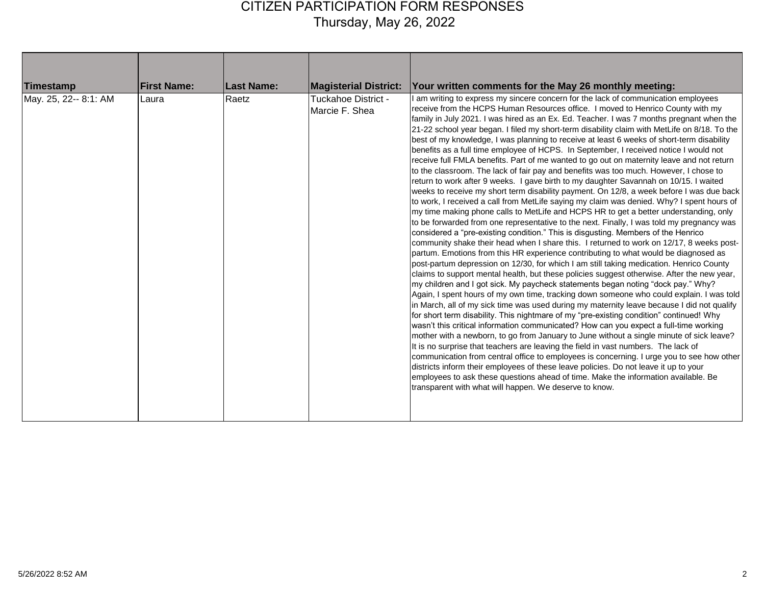| Timestamp<br>May. 25, 22-- 8:1: AM | <b>First Name:</b><br>Laura | <b>Last Name:</b><br>Raetz | <b>Magisterial District:</b><br><b>Tuckahoe District -</b><br>Marcie F. Shea | Your written comments for the May 26 monthly meeting:<br>am writing to express my sincere concern for the lack of communication employees<br>receive from the HCPS Human Resources office. I moved to Henrico County with my<br>family in July 2021. I was hired as an Ex. Ed. Teacher. I was 7 months pregnant when the<br>21-22 school year began. I filed my short-term disability claim with MetLife on 8/18. To the<br>best of my knowledge, I was planning to receive at least 6 weeks of short-term disability<br>benefits as a full time employee of HCPS. In September, I received notice I would not<br>receive full FMLA benefits. Part of me wanted to go out on maternity leave and not return<br>to the classroom. The lack of fair pay and benefits was too much. However, I chose to<br>return to work after 9 weeks. I gave birth to my daughter Savannah on 10/15. I waited<br>weeks to receive my short term disability payment. On 12/8, a week before I was due back<br>to work, I received a call from MetLife saying my claim was denied. Why? I spent hours of<br>my time making phone calls to MetLife and HCPS HR to get a better understanding, only<br>to be forwarded from one representative to the next. Finally, I was told my pregnancy was<br>considered a "pre-existing condition." This is disgusting. Members of the Henrico<br>community shake their head when I share this. I returned to work on 12/17, 8 weeks post-<br>partum. Emotions from this HR experience contributing to what would be diagnosed as<br>post-partum depression on 12/30, for which I am still taking medication. Henrico County<br>claims to support mental health, but these policies suggest otherwise. After the new year,<br>my children and I got sick. My paycheck statements began noting "dock pay." Why?<br>Again, I spent hours of my own time, tracking down someone who could explain. I was told<br>in March, all of my sick time was used during my maternity leave because I did not qualify<br>for short term disability. This nightmare of my "pre-existing condition" continued! Why<br>wasn't this critical information communicated? How can you expect a full-time working<br>Imother with a newborn, to go from January to June without a single minute of sick leave?<br>It is no surprise that teachers are leaving the field in vast numbers. The lack of<br>communication from central office to employees is concerning. I urge you to see how other<br>districts inform their employees of these leave policies. Do not leave it up to your<br>employees to ask these questions ahead of time. Make the information available. Be<br>transparent with what will happen. We deserve to know. |
|------------------------------------|-----------------------------|----------------------------|------------------------------------------------------------------------------|-----------------------------------------------------------------------------------------------------------------------------------------------------------------------------------------------------------------------------------------------------------------------------------------------------------------------------------------------------------------------------------------------------------------------------------------------------------------------------------------------------------------------------------------------------------------------------------------------------------------------------------------------------------------------------------------------------------------------------------------------------------------------------------------------------------------------------------------------------------------------------------------------------------------------------------------------------------------------------------------------------------------------------------------------------------------------------------------------------------------------------------------------------------------------------------------------------------------------------------------------------------------------------------------------------------------------------------------------------------------------------------------------------------------------------------------------------------------------------------------------------------------------------------------------------------------------------------------------------------------------------------------------------------------------------------------------------------------------------------------------------------------------------------------------------------------------------------------------------------------------------------------------------------------------------------------------------------------------------------------------------------------------------------------------------------------------------------------------------------------------------------------------------------------------------------------------------------------------------------------------------------------------------------------------------------------------------------------------------------------------------------------------------------------------------------------------------------------------------------------------------------------------------------------------------------------------------------------------------------------------------------------------------------------------------------------------------------------------------------------|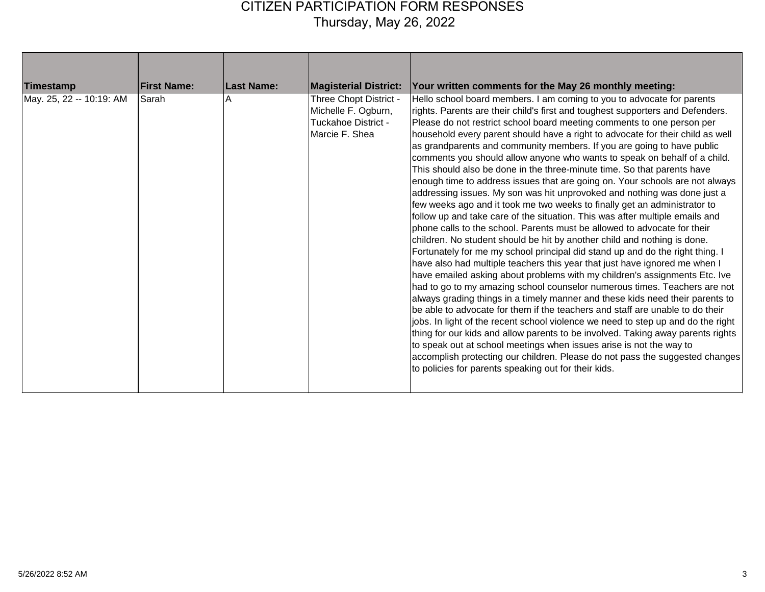| Timestamp                | <b>First Name:</b> | Last Name: | <b>Magisterial District:</b>                                                                  | Your written comments for the May 26 monthly meeting:                                                                                                                                                                                                                                                                                                                                                                                                                                                                                                                                                                                                                                                                                                                                                                                                                                                                                                                                                                                                                                                                                                                                                                                                                                                                                                                                                                                                                                                                                                                                                                                                                                                                                                                                                                                                                                                                     |
|--------------------------|--------------------|------------|-----------------------------------------------------------------------------------------------|---------------------------------------------------------------------------------------------------------------------------------------------------------------------------------------------------------------------------------------------------------------------------------------------------------------------------------------------------------------------------------------------------------------------------------------------------------------------------------------------------------------------------------------------------------------------------------------------------------------------------------------------------------------------------------------------------------------------------------------------------------------------------------------------------------------------------------------------------------------------------------------------------------------------------------------------------------------------------------------------------------------------------------------------------------------------------------------------------------------------------------------------------------------------------------------------------------------------------------------------------------------------------------------------------------------------------------------------------------------------------------------------------------------------------------------------------------------------------------------------------------------------------------------------------------------------------------------------------------------------------------------------------------------------------------------------------------------------------------------------------------------------------------------------------------------------------------------------------------------------------------------------------------------------------|
| May. 25, 22 -- 10:19: AM | Sarah              |            | Three Chopt District -<br>Michelle F. Ogburn,<br><b>Tuckahoe District -</b><br>Marcie F. Shea | Hello school board members. I am coming to you to advocate for parents<br>rights. Parents are their child's first and toughest supporters and Defenders.<br>Please do not restrict school board meeting comments to one person per<br>household every parent should have a right to advocate for their child as well<br>as grandparents and community members. If you are going to have public<br>comments you should allow anyone who wants to speak on behalf of a child.<br>This should also be done in the three-minute time. So that parents have<br>enough time to address issues that are going on. Your schools are not always<br>addressing issues. My son was hit unprovoked and nothing was done just a<br>few weeks ago and it took me two weeks to finally get an administrator to<br>follow up and take care of the situation. This was after multiple emails and<br>phone calls to the school. Parents must be allowed to advocate for their<br>children. No student should be hit by another child and nothing is done.<br>Fortunately for me my school principal did stand up and do the right thing. I<br>have also had multiple teachers this year that just have ignored me when I<br>have emailed asking about problems with my children's assignments Etc. Ive<br>had to go to my amazing school counselor numerous times. Teachers are not<br>always grading things in a timely manner and these kids need their parents to<br>be able to advocate for them if the teachers and staff are unable to do their<br>jobs. In light of the recent school violence we need to step up and do the right<br>thing for our kids and allow parents to be involved. Taking away parents rights<br>to speak out at school meetings when issues arise is not the way to<br>accomplish protecting our children. Please do not pass the suggested changes<br>to policies for parents speaking out for their kids. |